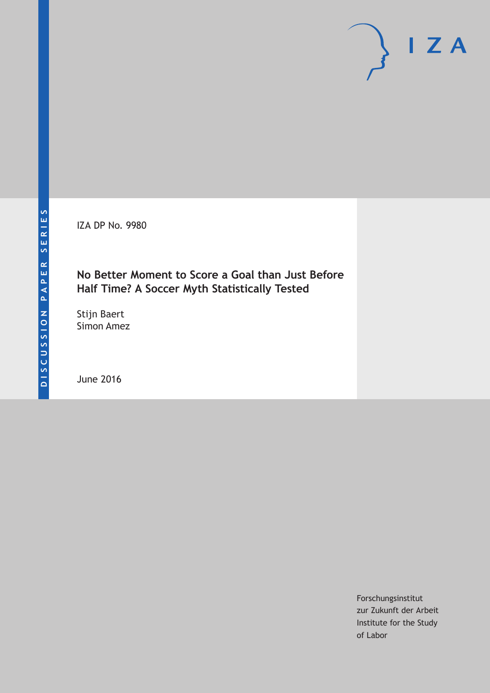IZA DP No. 9980

# **No Better Moment to Score a Goal than Just Before Half Time? A Soccer Myth Statistically Tested**

Stijn Baert Simon Amez

June 2016

Forschungsinstitut zur Zukunft der Arbeit Institute for the Study of Labor

 $I Z A$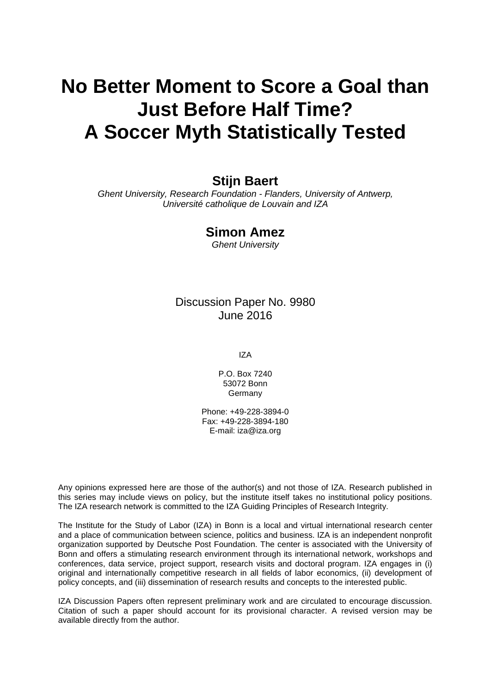# **No Better Moment to Score a Goal than Just Before Half Time? A Soccer Myth Statistically Tested**

# **Stijn Baert**

*Ghent University, Research Foundation - Flanders, University of Antwerp, Université catholique de Louvain and IZA*

# **Simon Amez**

*Ghent University*

# Discussion Paper No. 9980 June 2016

IZA

P.O. Box 7240 53072 Bonn Germany

Phone: +49-228-3894-0 Fax: +49-228-3894-180 E-mail: iza@iza.org

Any opinions expressed here are those of the author(s) and not those of IZA. Research published in this series may include views on policy, but the institute itself takes no institutional policy positions. The IZA research network is committed to the IZA Guiding Principles of Research Integrity.

The Institute for the Study of Labor (IZA) in Bonn is a local and virtual international research center and a place of communication between science, politics and business. IZA is an independent nonprofit organization supported by Deutsche Post Foundation. The center is associated with the University of Bonn and offers a stimulating research environment through its international network, workshops and conferences, data service, project support, research visits and doctoral program. IZA engages in (i) original and internationally competitive research in all fields of labor economics, (ii) development of policy concepts, and (iii) dissemination of research results and concepts to the interested public.

IZA Discussion Papers often represent preliminary work and are circulated to encourage discussion. Citation of such a paper should account for its provisional character. A revised version may be available directly from the author.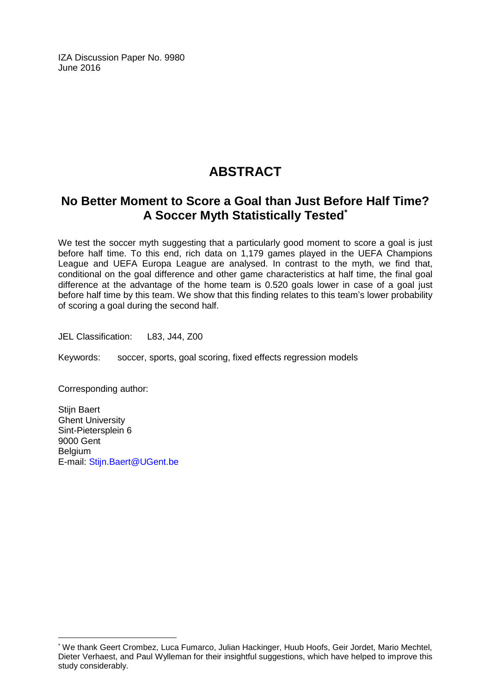IZA Discussion Paper No. 9980 June 2016

# **ABSTRACT**

# **No Better Moment to Score a Goal than Just Before Half Time? A Soccer Myth Statistically Tested\***

We test the soccer myth suggesting that a particularly good moment to score a goal is just before half time. To this end, rich data on 1,179 games played in the UEFA Champions League and UEFA Europa League are analysed. In contrast to the myth, we find that, conditional on the goal difference and other game characteristics at half time, the final goal difference at the advantage of the home team is 0.520 goals lower in case of a goal just before half time by this team. We show that this finding relates to this team's lower probability of scoring a goal during the second half.

JEL Classification: L83, J44, Z00

Keywords: soccer, sports, goal scoring, fixed effects regression models

Corresponding author:

 $\overline{a}$ 

Stijn Baert Ghent University Sint-Pietersplein 6 9000 Gent Belgium E-mail: [Stijn.Baert@UGent.be](mailto:Stijn.Baert@UGent.be)

<sup>\*</sup> We thank Geert Crombez, Luca Fumarco, Julian Hackinger, Huub Hoofs, Geir Jordet, Mario Mechtel, Dieter Verhaest, and Paul Wylleman for their insightful suggestions, which have helped to improve this study considerably.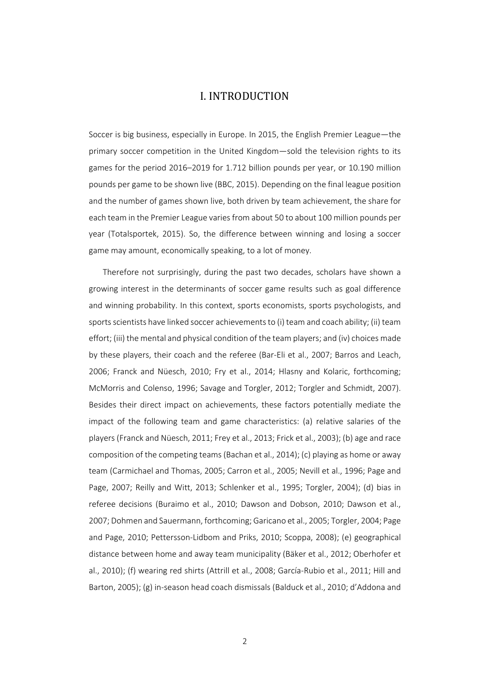## I. INTRODUCTION

Soccer is big business, especially in Europe. In 2015, the English Premier League—the primary soccer competition in the United Kingdom—sold the television rights to its games for the period 2016–2019 for 1.712 billion pounds per year, or 10.190 million pounds per game to be shown live (BBC, 2015). Depending on the final league position and the number of games shown live, both driven by team achievement, the share for each team in the Premier League varies from about 50 to about 100 million pounds per year (Totalsportek, 2015). So, the difference between winning and losing a soccer game may amount, economically speaking, to a lot of money.

Therefore not surprisingly, during the past two decades, scholars have shown a growing interest in the determinants of soccer game results such as goal difference and winning probability. In this context, sports economists, sports psychologists, and sports scientists have linked soccer achievements to (i) team and coach ability; (ii) team effort; (iii) the mental and physical condition of the team players; and (iv) choices made by these players, their coach and the referee (Bar-Eli et al., 2007; Barros and Leach, 2006; Franck and Nüesch, 2010; Fry et al., 2014; Hlasny and Kolaric, forthcoming; McMorris and Colenso, 1996; Savage and Torgler, 2012; Torgler and Schmidt, 2007). Besides their direct impact on achievements, these factors potentially mediate the impact of the following team and game characteristics: (a) relative salaries of the players (Franck and Nüesch, 2011; Frey et al., 2013; Frick et al., 2003); (b) age and race composition of the competing teams (Bachan et al., 2014); (c) playing as home or away team (Carmichael and Thomas, 2005; Carron et al., 2005; Nevill et al., 1996; Page and Page, 2007; Reilly and Witt, 2013; Schlenker et al., 1995; Torgler, 2004); (d) bias in referee decisions (Buraimo et al., 2010; Dawson and Dobson, 2010; Dawson et al., 2007; Dohmen and Sauermann, forthcoming; Garicano et al., 2005; Torgler, 2004; Page and Page, 2010; Pettersson‐Lidbom and Priks, 2010; Scoppa, 2008); (e) geographical distance between home and away team municipality (Bäker et al., 2012; Oberhofer et al., 2010); (f) wearing red shirts (Attrill et al., 2008; García‐Rubio et al., 2011; Hill and Barton, 2005); (g) in‐season head coach dismissals (Balduck et al., 2010; d'Addona and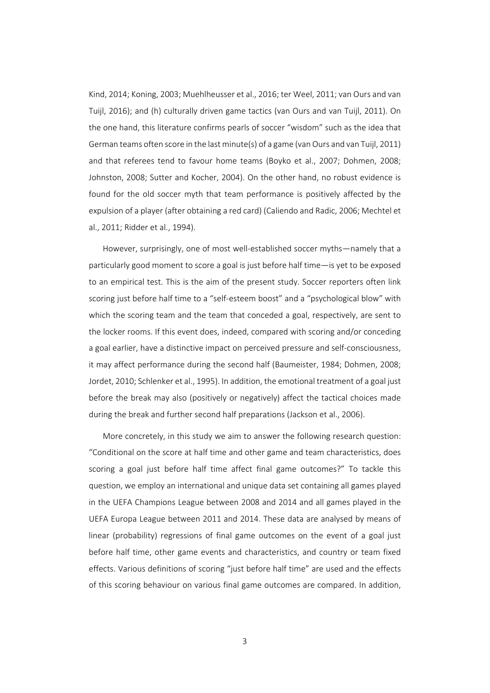Kind, 2014; Koning, 2003; Muehlheusser et al., 2016; ter Weel, 2011; van Ours and van Tuijl, 2016); and (h) culturally driven game tactics (van Ours and van Tuijl, 2011). On the one hand, this literature confirms pearls of soccer "wisdom" such as the idea that German teams often score in the last minute(s) of a game (van Ours and van Tuijl, 2011) and that referees tend to favour home teams (Boyko et al., 2007; Dohmen, 2008; Johnston, 2008; Sutter and Kocher, 2004). On the other hand, no robust evidence is found for the old soccer myth that team performance is positively affected by the expulsion of a player (after obtaining a red card) (Caliendo and Radic, 2006; Mechtel et al., 2011; Ridder et al., 1994).

However, surprisingly, one of most well‐established soccer myths—namely that a particularly good moment to score a goal is just before half time—is yet to be exposed to an empirical test. This is the aim of the present study. Soccer reporters often link scoring just before half time to a "self‐esteem boost" and a "psychological blow" with which the scoring team and the team that conceded a goal, respectively, are sent to the locker rooms. If this event does, indeed, compared with scoring and/or conceding a goal earlier, have a distinctive impact on perceived pressure and self‐consciousness, it may affect performance during the second half (Baumeister, 1984; Dohmen, 2008; Jordet, 2010; Schlenker et al., 1995). In addition, the emotional treatment of a goal just before the break may also (positively or negatively) affect the tactical choices made during the break and further second half preparations (Jackson et al., 2006).

More concretely, in this study we aim to answer the following research question: "Conditional on the score at half time and other game and team characteristics, does scoring a goal just before half time affect final game outcomes?" To tackle this question, we employ an international and unique data set containing all games played in the UEFA Champions League between 2008 and 2014 and all games played in the UEFA Europa League between 2011 and 2014. These data are analysed by means of linear (probability) regressions of final game outcomes on the event of a goal just before half time, other game events and characteristics, and country or team fixed effects. Various definitions of scoring "just before half time" are used and the effects of this scoring behaviour on various final game outcomes are compared. In addition,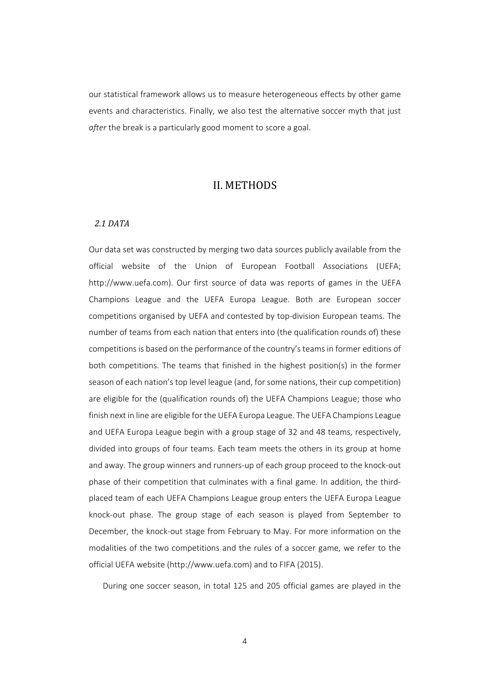our statistical framework allows us to measure heterogeneous effects by other game events and characteristics. Finally, we also test the alternative soccer myth that just *after* the break is a particularly good moment to score a goal.

### II. METHODS

#### *2.1 DATA*

Our data set was constructed by merging two data sources publicly available from the official website of the Union of European Football Associations (UEFA; http://www.uefa.com). Our first source of data was reports of games in the UEFA Champions League and the UEFA Europa League. Both are European soccer competitions organised by UEFA and contested by top‐division European teams. The number of teams from each nation that enters into (the qualification rounds of) these competitions is based on the performance of the country's teams in former editions of both competitions. The teams that finished in the highest position(s) in the former season of each nation's top level league (and, for some nations, their cup competition) are eligible for the (qualification rounds of) the UEFA Champions League; those who finish next in line are eligible for the UEFA Europa League. The UEFA Champions League and UEFA Europa League begin with a group stage of 32 and 48 teams, respectively, divided into groups of four teams. Each team meets the others in its group at home and away. The group winners and runners-up of each group proceed to the knock-out phase of their competition that culminates with a final game. In addition, the third‐ placed team of each UEFA Champions League group enters the UEFA Europa League knock‐out phase. The group stage of each season is played from September to December, the knock‐out stage from February to May. For more information on the modalities of the two competitions and the rules of a soccer game, we refer to the official UEFA website (http://www.uefa.com) and to FIFA (2015).

During one soccer season, in total 125 and 205 official games are played in the

4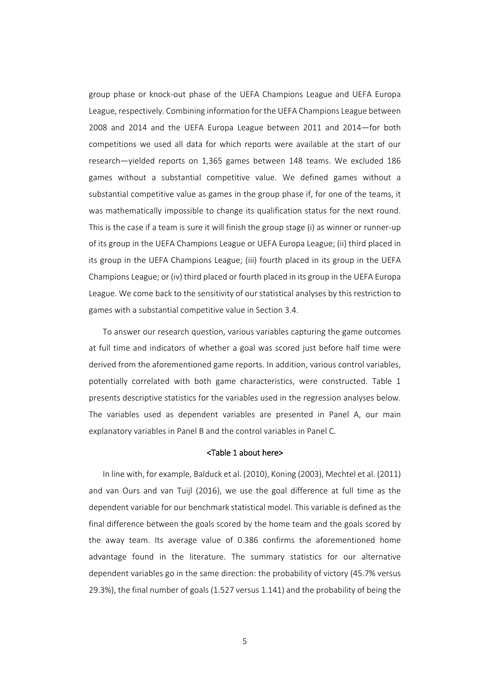group phase or knock‐out phase of the UEFA Champions League and UEFA Europa League, respectively. Combining information for the UEFA Champions League between 2008 and 2014 and the UEFA Europa League between 2011 and 2014—for both competitions we used all data for which reports were available at the start of our research—yielded reports on 1,365 games between 148 teams. We excluded 186 games without a substantial competitive value. We defined games without a substantial competitive value as games in the group phase if, for one of the teams, it was mathematically impossible to change its qualification status for the next round. This is the case if a team is sure it will finish the group stage (i) as winner or runner‐up of its group in the UEFA Champions League or UEFA Europa League; (ii) third placed in its group in the UEFA Champions League; (iii) fourth placed in its group in the UEFA Champions League; or (iv) third placed or fourth placed in its group in the UEFA Europa League. We come back to the sensitivity of our statistical analyses by this restriction to games with a substantial competitive value in Section 3.4.

To answer our research question, various variables capturing the game outcomes at full time and indicators of whether a goal was scored just before half time were derived from the aforementioned game reports. In addition, various control variables, potentially correlated with both game characteristics, were constructed. Table 1 presents descriptive statistics for the variables used in the regression analyses below. The variables used as dependent variables are presented in Panel A, our main explanatory variables in Panel B and the control variables in Panel C.

#### <Table 1 about here>

In line with, for example, Balduck et al. (2010), Koning (2003), Mechtel et al. (2011) and van Ours and van Tuijl (2016), we use the goal difference at full time as the dependent variable for our benchmark statistical model. This variable is defined as the final difference between the goals scored by the home team and the goals scored by the away team. Its average value of 0.386 confirms the aforementioned home advantage found in the literature. The summary statistics for our alternative dependent variables go in the same direction: the probability of victory (45.7% versus 29.3%), the final number of goals (1.527 versus 1.141) and the probability of being the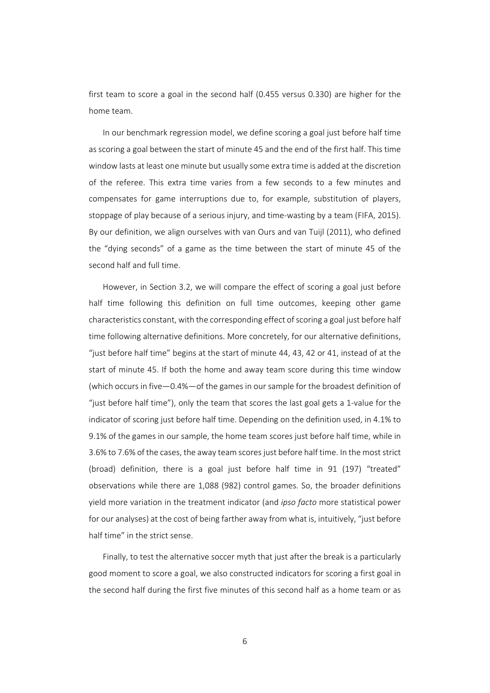first team to score a goal in the second half (0.455 versus 0.330) are higher for the home team.

In our benchmark regression model, we define scoring a goal just before half time as scoring a goal between the start of minute 45 and the end of the first half. This time window lasts at least one minute but usually some extra time is added at the discretion of the referee. This extra time varies from a few seconds to a few minutes and compensates for game interruptions due to, for example, substitution of players, stoppage of play because of a serious injury, and time-wasting by a team (FIFA, 2015). By our definition, we align ourselves with van Ours and van Tuijl (2011), who defined the "dying seconds" of a game as the time between the start of minute 45 of the second half and full time.

However, in Section 3.2, we will compare the effect of scoring a goal just before half time following this definition on full time outcomes, keeping other game characteristics constant, with the corresponding effect of scoring a goal just before half time following alternative definitions. More concretely, for our alternative definitions, "just before half time" begins at the start of minute 44, 43, 42 or 41, instead of at the start of minute 45. If both the home and away team score during this time window (which occurs in five—0.4%—of the games in our sample for the broadest definition of "just before half time"), only the team that scores the last goal gets a 1‐value for the indicator of scoring just before half time. Depending on the definition used, in 4.1% to 9.1% of the games in our sample, the home team scores just before half time, while in 3.6% to 7.6% of the cases, the away team scores just before half time. In the moststrict (broad) definition, there is a goal just before half time in 91 (197) "treated" observations while there are 1,088 (982) control games. So, the broader definitions yield more variation in the treatment indicator (and *ipso facto* more statistical power for our analyses) at the cost of being farther away from what is, intuitively, "just before half time" in the strict sense.

Finally, to test the alternative soccer myth that just after the break is a particularly good moment to score a goal, we also constructed indicators for scoring a first goal in the second half during the first five minutes of this second half as a home team or as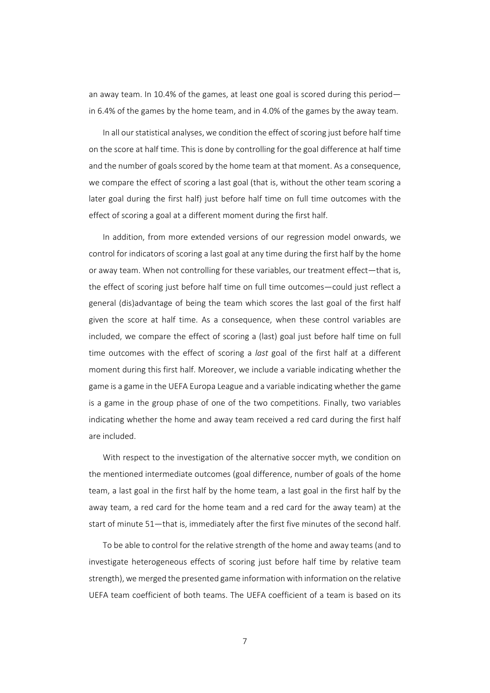an away team. In 10.4% of the games, at least one goal is scored during this period in 6.4% of the games by the home team, and in 4.0% of the games by the away team.

In all our statistical analyses, we condition the effect of scoring just before half time on the score at half time. This is done by controlling for the goal difference at half time and the number of goals scored by the home team at that moment. As a consequence, we compare the effect of scoring a last goal (that is, without the other team scoring a later goal during the first half) just before half time on full time outcomes with the effect of scoring a goal at a different moment during the first half.

In addition, from more extended versions of our regression model onwards, we control for indicators of scoring a last goal at any time during the first half by the home or away team. When not controlling for these variables, our treatment effect—that is, the effect of scoring just before half time on full time outcomes—could just reflect a general (dis)advantage of being the team which scores the last goal of the first half given the score at half time. As a consequence, when these control variables are included, we compare the effect of scoring a (last) goal just before half time on full time outcomes with the effect of scoring a *last* goal of the first half at a different moment during this first half. Moreover, we include a variable indicating whether the game is a game in the UEFA Europa League and a variable indicating whether the game is a game in the group phase of one of the two competitions. Finally, two variables indicating whether the home and away team received a red card during the first half are included.

With respect to the investigation of the alternative soccer myth, we condition on the mentioned intermediate outcomes (goal difference, number of goals of the home team, a last goal in the first half by the home team, a last goal in the first half by the away team, a red card for the home team and a red card for the away team) at the start of minute 51—that is, immediately after the first five minutes of the second half.

To be able to control for the relative strength of the home and away teams (and to investigate heterogeneous effects of scoring just before half time by relative team strength), we merged the presented game information with information on the relative UEFA team coefficient of both teams. The UEFA coefficient of a team is based on its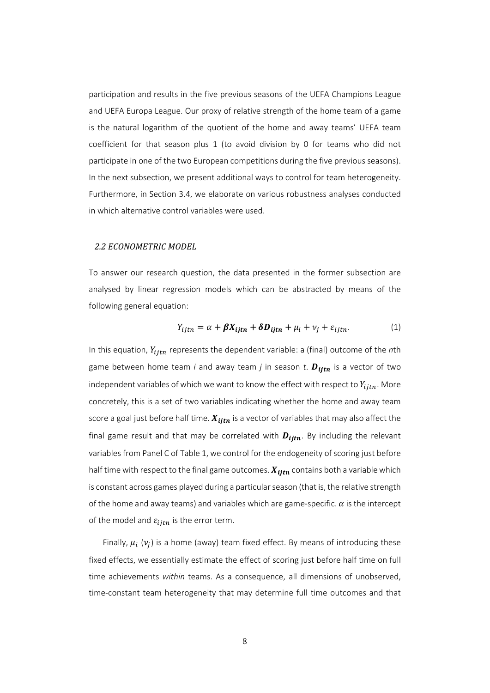participation and results in the five previous seasons of the UEFA Champions League and UEFA Europa League. Our proxy of relative strength of the home team of a game is the natural logarithm of the quotient of the home and away teams' UEFA team coefficient for that season plus 1 (to avoid division by 0 for teams who did not participate in one of the two European competitions during the five previous seasons). In the next subsection, we present additional ways to control for team heterogeneity. Furthermore, in Section 3.4, we elaborate on various robustness analyses conducted in which alternative control variables were used.

#### *2.2 ECONOMETRIC MODEL*

To answer our research question, the data presented in the former subsection are analysed by linear regression models which can be abstracted by means of the following general equation:

$$
Y_{ijtn} = \alpha + \beta X_{ijtn} + \delta D_{ijtn} + \mu_i + \nu_j + \varepsilon_{ijtn}.
$$
 (1)

In this equation,  $Y_{i, in}$  represents the dependent variable: a (final) outcome of the *n*th game between home team  $i$  and away team  $j$  in season  $t$ .  $D_{ijtn}$  is a vector of two independent variables of which we want to know the effect with respect to  $Y_{i, in}$ . More concretely, this is a set of two variables indicating whether the home and away team score a goal just before half time.  $X_{iit}$  is a vector of variables that may also affect the final game result and that may be correlated with  $D_{iitr}$ . By including the relevant variables from Panel C of Table 1, we control for the endogeneity of scoring just before half time with respect to the final game outcomes.  $X_{iit}$  contains both a variable which is constant across games played during a particular season (that is, the relative strength of the home and away teams) and variables which are game-specific.  $\alpha$  is the intercept of the model and  $\varepsilon_{i, in}$  is the error term.

Finally,  $\mu_i$  ( $\nu_j$ ) is a home (away) team fixed effect. By means of introducing these fixed effects, we essentially estimate the effect of scoring just before half time on full time achievements *within* teams. As a consequence, all dimensions of unobserved, time‐constant team heterogeneity that may determine full time outcomes and that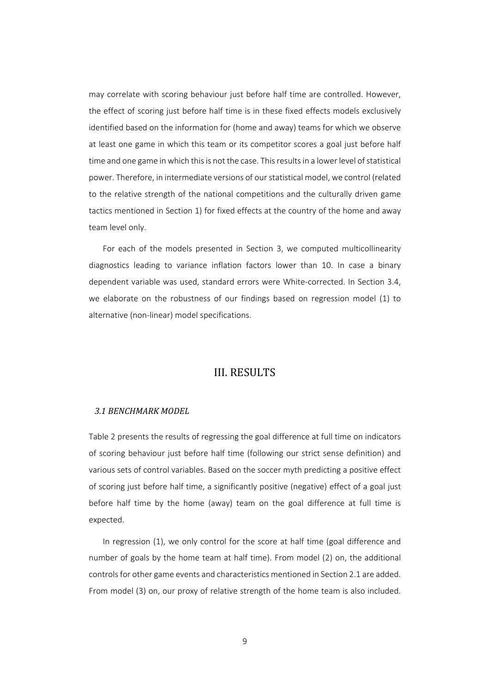may correlate with scoring behaviour just before half time are controlled. However, the effect of scoring just before half time is in these fixed effects models exclusively identified based on the information for (home and away) teams for which we observe at least one game in which this team or its competitor scores a goal just before half time and one game in which this is not the case. This results in a lower level of statistical power. Therefore, in intermediate versions of ourstatistical model, we control (related to the relative strength of the national competitions and the culturally driven game tactics mentioned in Section 1) for fixed effects at the country of the home and away team level only.

For each of the models presented in Section 3, we computed multicollinearity diagnostics leading to variance inflation factors lower than 10. In case a binary dependent variable was used, standard errors were White‐corrected. In Section 3.4, we elaborate on the robustness of our findings based on regression model (1) to alternative (non‐linear) model specifications.

### **III. RESULTS**

#### *3.1 BENCHMARK MODEL*

Table 2 presents the results of regressing the goal difference at full time on indicators of scoring behaviour just before half time (following our strict sense definition) and various sets of control variables. Based on the soccer myth predicting a positive effect of scoring just before half time, a significantly positive (negative) effect of a goal just before half time by the home (away) team on the goal difference at full time is expected.

In regression (1), we only control for the score at half time (goal difference and number of goals by the home team at half time). From model (2) on, the additional controlsfor other game events and characteristics mentioned in Section 2.1 are added. From model (3) on, our proxy of relative strength of the home team is also included.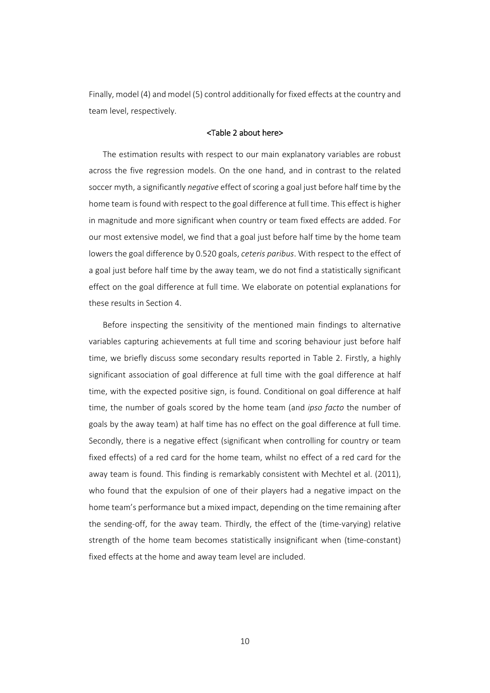Finally, model (4) and model (5) control additionally for fixed effects at the country and team level, respectively.

### <Table 2 about here>

The estimation results with respect to our main explanatory variables are robust across the five regression models. On the one hand, and in contrast to the related soccer myth, a significantly *negative* effect of scoring a goal just before half time by the home team is found with respect to the goal difference at full time. This effect is higher in magnitude and more significant when country or team fixed effects are added. For our most extensive model, we find that a goal just before half time by the home team lowers the goal difference by 0.520 goals, *ceteris paribus*. With respect to the effect of a goal just before half time by the away team, we do not find a statistically significant effect on the goal difference at full time. We elaborate on potential explanations for these results in Section 4.

Before inspecting the sensitivity of the mentioned main findings to alternative variables capturing achievements at full time and scoring behaviour just before half time, we briefly discuss some secondary results reported in Table 2. Firstly, a highly significant association of goal difference at full time with the goal difference at half time, with the expected positive sign, is found. Conditional on goal difference at half time, the number of goals scored by the home team (and *ipso facto* the number of goals by the away team) at half time has no effect on the goal difference at full time. Secondly, there is a negative effect (significant when controlling for country or team fixed effects) of a red card for the home team, whilst no effect of a red card for the away team is found. This finding is remarkably consistent with Mechtel et al. (2011), who found that the expulsion of one of their players had a negative impact on the home team's performance but a mixed impact, depending on the time remaining after the sending‐off, for the away team. Thirdly, the effect of the (time‐varying) relative strength of the home team becomes statistically insignificant when (time‐constant) fixed effects at the home and away team level are included.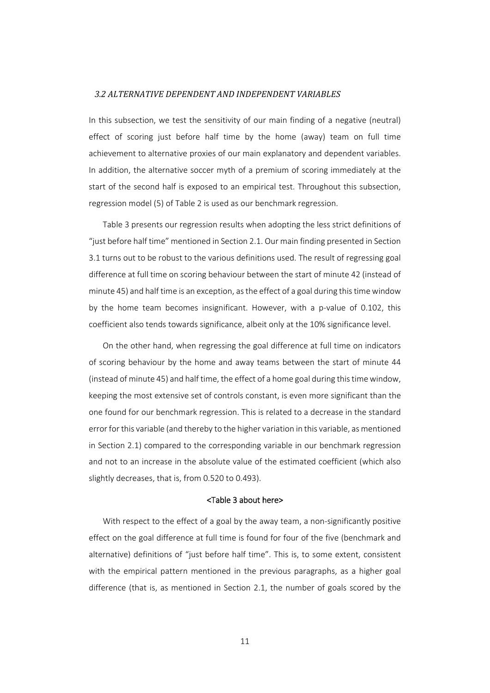#### *3.2 ALTERNATIVE DEPENDENT AND INDEPENDENT VARIABLES*

In this subsection, we test the sensitivity of our main finding of a negative (neutral) effect of scoring just before half time by the home (away) team on full time achievement to alternative proxies of our main explanatory and dependent variables. In addition, the alternative soccer myth of a premium of scoring immediately at the start of the second half is exposed to an empirical test. Throughout this subsection, regression model (5) of Table 2 is used as our benchmark regression.

Table 3 presents our regression results when adopting the less strict definitions of "just before half time" mentioned in Section 2.1. Our main finding presented in Section 3.1 turns out to be robust to the various definitions used. The result of regressing goal difference at full time on scoring behaviour between the start of minute 42 (instead of minute 45) and half time is an exception, asthe effect of a goal during thistime window by the home team becomes insignificant. However, with a p-value of 0.102, this coefficient also tends towards significance, albeit only at the 10% significance level.

On the other hand, when regressing the goal difference at full time on indicators of scoring behaviour by the home and away teams between the start of minute 44 (instead of minute 45) and half time, the effect of a home goal during thistime window, keeping the most extensive set of controls constant, is even more significant than the one found for our benchmark regression. This is related to a decrease in the standard error for this variable (and thereby to the higher variation in this variable, as mentioned in Section 2.1) compared to the corresponding variable in our benchmark regression and not to an increase in the absolute value of the estimated coefficient (which also slightly decreases, that is, from 0.520 to 0.493).

#### <Table 3 about here>

With respect to the effect of a goal by the away team, a non-significantly positive effect on the goal difference at full time is found for four of the five (benchmark and alternative) definitions of "just before half time". This is, to some extent, consistent with the empirical pattern mentioned in the previous paragraphs, as a higher goal difference (that is, as mentioned in Section 2.1, the number of goals scored by the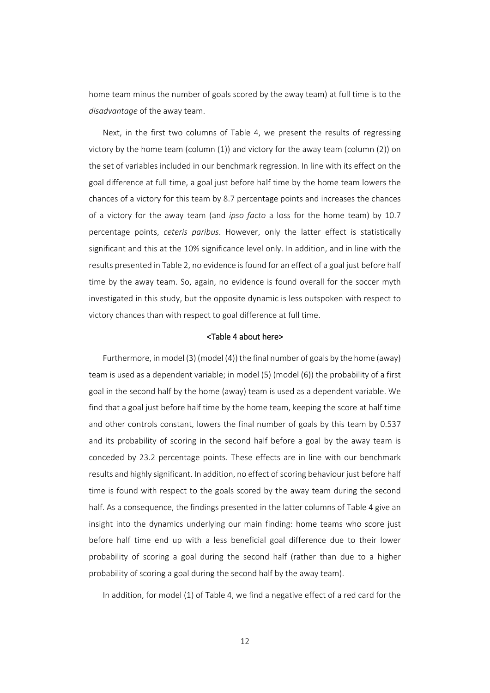home team minus the number of goals scored by the away team) at full time is to the *disadvantage* of the away team.

Next, in the first two columns of Table 4, we present the results of regressing victory by the home team (column  $(1)$ ) and victory for the away team (column  $(2)$ ) on the set of variables included in our benchmark regression. In line with its effect on the goal difference at full time, a goal just before half time by the home team lowers the chances of a victory for this team by 8.7 percentage points and increases the chances of a victory for the away team (and *ipso facto*  a loss for the home team) by 10.7 percentage points, *ceteris paribus*. However, only the latter effect is statistically significant and this at the 10% significance level only. In addition, and in line with the results presented in Table 2, no evidence isfound for an effect of a goal just before half time by the away team. So, again, no evidence is found overall for the soccer myth investigated in this study, but the opposite dynamic is less outspoken with respect to victory chances than with respect to goal difference at full time.

#### <Table 4 about here>

Furthermore, in model (3) (model (4)) the final number of goals by the home (away) team is used as a dependent variable; in model (5) (model (6)) the probability of a first goal in the second half by the home (away) team is used as a dependent variable. We find that a goal just before half time by the home team, keeping the score at half time and other controls constant, lowers the final number of goals by this team by 0.537 and its probability of scoring in the second half before a goal by the away team is conceded by 23.2 percentage points. These effects are in line with our benchmark results and highly significant. In addition, no effect of scoring behaviour just before half time is found with respect to the goals scored by the away team during the second half. As a consequence, the findings presented in the latter columns of Table 4 give an insight into the dynamics underlying our main finding: home teams who score just before half time end up with a less beneficial goal difference due to their lower probability of scoring a goal during the second half (rather than due to a higher probability of scoring a goal during the second half by the away team).

In addition, for model (1) of Table 4, we find a negative effect of a red card for the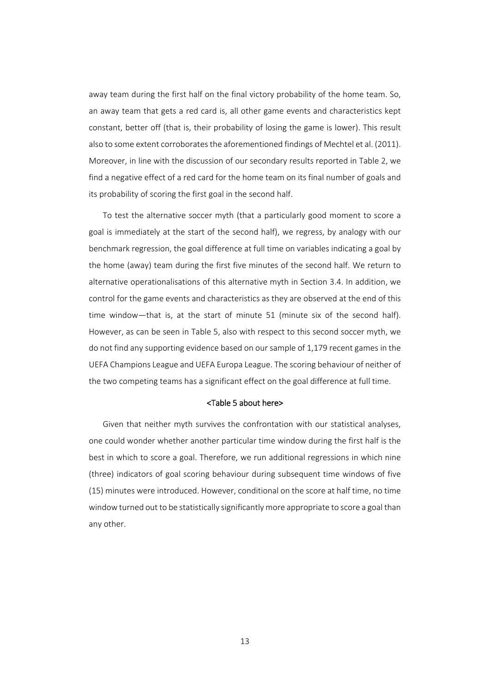away team during the first half on the final victory probability of the home team. So, an away team that gets a red card is, all other game events and characteristics kept constant, better off (that is, their probability of losing the game is lower). This result also to some extent corroborates the aforementioned findings of Mechtel et al. (2011). Moreover, in line with the discussion of our secondary results reported in Table 2, we find a negative effect of a red card for the home team on its final number of goals and its probability of scoring the first goal in the second half.

To test the alternative soccer myth (that a particularly good moment to score a goal is immediately at the start of the second half), we regress, by analogy with our benchmark regression, the goal difference at full time on variables indicating a goal by the home (away) team during the first five minutes of the second half. We return to alternative operationalisations of this alternative myth in Section 3.4. In addition, we control for the game events and characteristics as they are observed at the end of this time window—that is, at the start of minute 51 (minute six of the second half). However, as can be seen in Table 5, also with respect to this second soccer myth, we do not find any supporting evidence based on our sample of 1,179 recent games in the UEFA Champions League and UEFA Europa League. The scoring behaviour of neither of the two competing teams has a significant effect on the goal difference at full time.

#### <Table 5 about here>

Given that neither myth survives the confrontation with our statistical analyses, one could wonder whether another particular time window during the first half is the best in which to score a goal. Therefore, we run additional regressions in which nine (three) indicators of goal scoring behaviour during subsequent time windows of five (15) minutes were introduced. However, conditional on the score at half time, no time windowturned out to be statistically significantly more appropriate to score a goal than any other.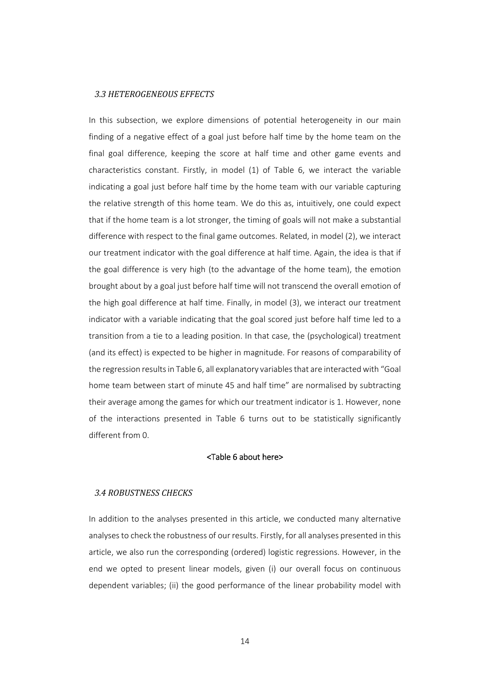#### *3.3 HETEROGENEOUS EFFECTS*

In this subsection, we explore dimensions of potential heterogeneity in our main finding of a negative effect of a goal just before half time by the home team on the final goal difference, keeping the score at half time and other game events and characteristics constant. Firstly, in model (1) of Table 6, we interact the variable indicating a goal just before half time by the home team with our variable capturing the relative strength of this home team. We do this as, intuitively, one could expect that if the home team is a lot stronger, the timing of goals will not make a substantial difference with respect to the final game outcomes. Related, in model (2), we interact our treatment indicator with the goal difference at half time. Again, the idea is that if the goal difference is very high (to the advantage of the home team), the emotion brought about by a goal just before half time will not transcend the overall emotion of the high goal difference at half time. Finally, in model (3), we interact our treatment indicator with a variable indicating that the goal scored just before half time led to a transition from a tie to a leading position. In that case, the (psychological) treatment (and its effect) is expected to be higher in magnitude. For reasons of comparability of the regression resultsin Table 6, all explanatory variablesthat are interactedwith "Goal home team between start of minute 45 and half time" are normalised by subtracting their average among the games for which our treatment indicator is 1. However, none of the interactions presented in Table 6 turns out to be statistically significantly different from 0.

#### <Table 6 about here>

### *3.4 ROBUSTNESS CHECKS*

In addition to the analyses presented in this article, we conducted many alternative analysesto check the robustness of our results. Firstly, for all analyses presented in this article, we also run the corresponding (ordered) logistic regressions. However, in the end we opted to present linear models, given (i) our overall focus on continuous dependent variables; (ii) the good performance of the linear probability model with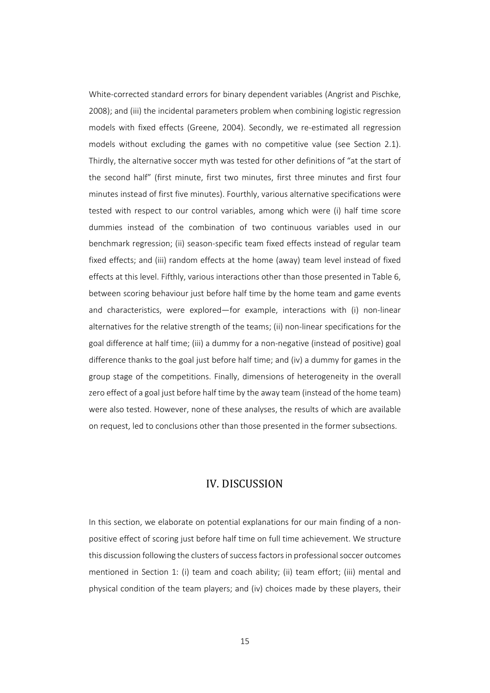White‐corrected standard errors for binary dependent variables (Angrist and Pischke, 2008); and (iii) the incidental parameters problem when combining logistic regression models with fixed effects (Greene, 2004). Secondly, we re-estimated all regression models without excluding the games with no competitive value (see Section 2.1). Thirdly, the alternative soccer myth was tested for other definitions of "at the start of the second half" (first minute, first two minutes, first three minutes and first four minutes instead of first five minutes). Fourthly, various alternative specifications were tested with respect to our control variables, among which were (i) half time score dummies instead of the combination of two continuous variables used in our benchmark regression; (ii) season‐specific team fixed effects instead of regular team fixed effects; and (iii) random effects at the home (away) team level instead of fixed effects at this level. Fifthly, various interactions other than those presented in Table 6, between scoring behaviour just before half time by the home team and game events and characteristics, were explored—for example, interactions with (i) non-linear alternatives for the relative strength of the teams; (ii) non‐linear specifications for the goal difference at half time; (iii) a dummy for a non‐negative (instead of positive) goal difference thanks to the goal just before half time; and (iv) a dummy for games in the group stage of the competitions. Finally, dimensions of heterogeneity in the overall zero effect of a goal just before half time by the away team (instead of the home team) were also tested. However, none of these analyses, the results of which are available on request, led to conclusions other than those presented in the former subsections.

### IV. DISCUSSION

In this section, we elaborate on potential explanations for our main finding of a nonpositive effect of scoring just before half time on full time achievement. We structure this discussion following the clusters of success factors in professional soccer outcomes mentioned in Section 1: (i) team and coach ability; (ii) team effort; (iii) mental and physical condition of the team players; and (iv) choices made by these players, their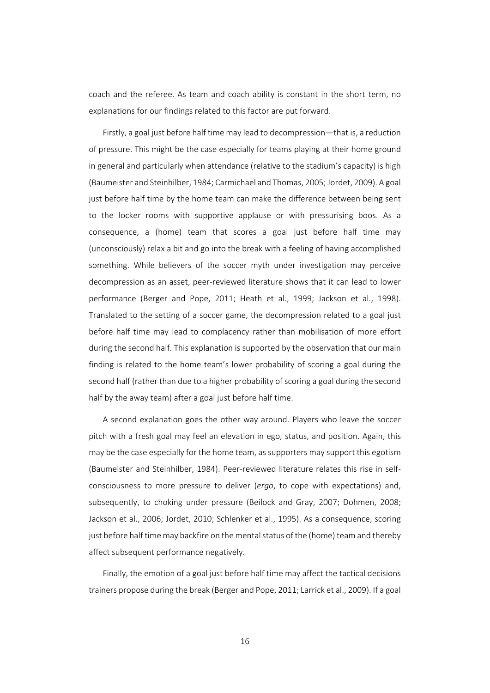coach and the referee. As team and coach ability is constant in the short term, no explanations for our findings related to this factor are put forward.

Firstly, a goal just before half time may lead to decompression—that is, a reduction of pressure. This might be the case especially for teams playing at their home ground in general and particularly when attendance (relative to the stadium's capacity) is high (Baumeister and Steinhilber, 1984; Carmichael and Thomas, 2005; Jordet, 2009). A goal just before half time by the home team can make the difference between being sent to the locker rooms with supportive applause or with pressurising boos. As a consequence, a (home) team that scores a goal just before half time may (unconsciously) relax a bit and go into the break with a feeling of having accomplished something. While believers of the soccer myth under investigation may perceive decompression as an asset, peer‐reviewed literature shows that it can lead to lower performance (Berger and Pope, 2011; Heath et al., 1999; Jackson et al., 1998). Translated to the setting of a soccer game, the decompression related to a goal just before half time may lead to complacency rather than mobilisation of more effort during the second half. This explanation is supported by the observation that our main finding is related to the home team's lower probability of scoring a goal during the second half (rather than due to a higher probability of scoring a goal during the second half by the away team) after a goal just before half time.

A second explanation goes the other way around. Players who leave the soccer pitch with a fresh goal may feel an elevation in ego, status, and position. Again, this may be the case especially for the home team, as supporters may support this egotism (Baumeister and Steinhilber, 1984). Peer‐reviewed literature relates this rise in self‐ consciousness to more pressure to deliver (*ergo*, to cope with expectations) and, subsequently, to choking under pressure (Beilock and Gray, 2007; Dohmen, 2008; Jackson et al., 2006; Jordet, 2010; Schlenker et al., 1995). As a consequence, scoring just before half time may backfire on the mental status of the (home) team and thereby affect subsequent performance negatively.

Finally, the emotion of a goal just before half time may affect the tactical decisions trainers propose during the break (Berger and Pope, 2011; Larrick et al., 2009). If a goal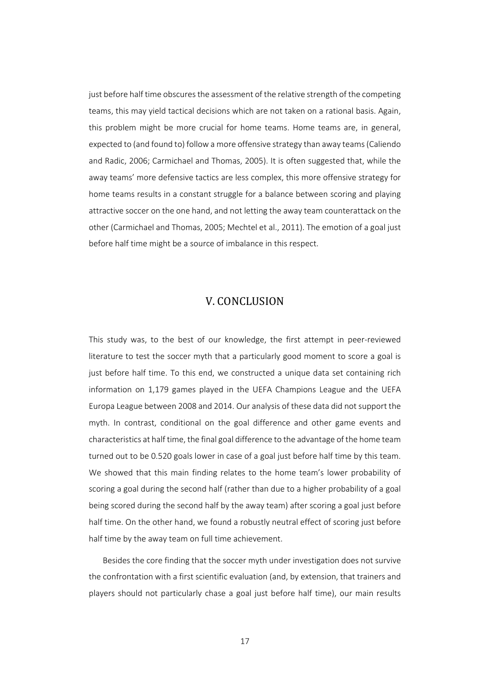just before half time obscures the assessment of the relative strength of the competing teams, this may yield tactical decisions which are not taken on a rational basis. Again, this problem might be more crucial for home teams. Home teams are, in general, expected to (and found to) follow a more offensive strategy than away teams(Caliendo and Radic, 2006; Carmichael and Thomas, 2005). It is often suggested that, while the away teams' more defensive tactics are less complex, this more offensive strategy for home teams results in a constant struggle for a balance between scoring and playing attractive soccer on the one hand, and not letting the away team counterattack on the other (Carmichael and Thomas, 2005; Mechtel et al., 2011). The emotion of a goal just before half time might be a source of imbalance in this respect.

# V. CONCLUSION

This study was, to the best of our knowledge, the first attempt in peer‐reviewed literature to test the soccer myth that a particularly good moment to score a goal is just before half time. To this end, we constructed a unique data set containing rich information on 1,179 games played in the UEFA Champions League and the UEFA Europa League between 2008 and 2014. Our analysis of these data did not support the myth. In contrast, conditional on the goal difference and other game events and characteristics at half time, the final goal difference to the advantage of the home team turned out to be 0.520 goals lower in case of a goal just before half time by this team. We showed that this main finding relates to the home team's lower probability of scoring a goal during the second half (rather than due to a higher probability of a goal being scored during the second half by the away team) after scoring a goal just before half time. On the other hand, we found a robustly neutral effect of scoring just before half time by the away team on full time achievement.

Besides the core finding that the soccer myth under investigation does not survive the confrontation with a first scientific evaluation (and, by extension, that trainers and players should not particularly chase a goal just before half time), our main results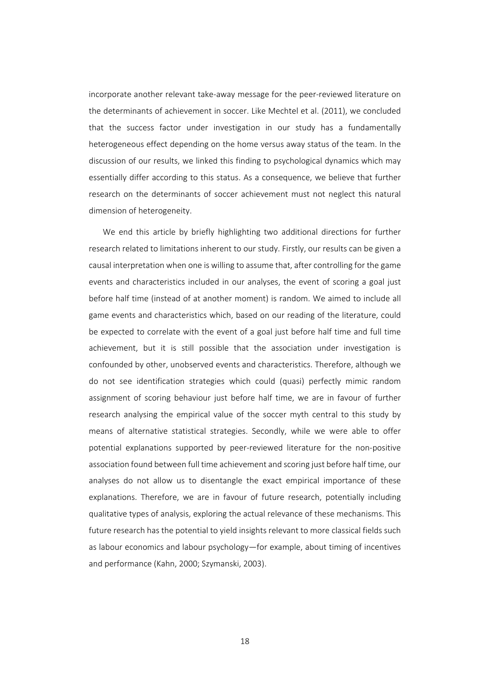incorporate another relevant take‐away message for the peer‐reviewed literature on the determinants of achievement in soccer. Like Mechtel et al. (2011), we concluded that the success factor under investigation in our study has a fundamentally heterogeneous effect depending on the home versus away status of the team. In the discussion of our results, we linked this finding to psychological dynamics which may essentially differ according to this status. As a consequence, we believe that further research on the determinants of soccer achievement must not neglect this natural dimension of heterogeneity.

We end this article by briefly highlighting two additional directions for further research related to limitations inherent to our study. Firstly, our results can be given a causal interpretation when one is willing to assume that, after controlling for the game events and characteristics included in our analyses, the event of scoring a goal just before half time (instead of at another moment) is random. We aimed to include all game events and characteristics which, based on our reading of the literature, could be expected to correlate with the event of a goal just before half time and full time achievement, but it is still possible that the association under investigation is confounded by other, unobserved events and characteristics. Therefore, although we do not see identification strategies which could (quasi) perfectly mimic random assignment of scoring behaviour just before half time, we are in favour of further research analysing the empirical value of the soccer myth central to this study by means of alternative statistical strategies. Secondly, while we were able to offer potential explanations supported by peer-reviewed literature for the non-positive association found between full time achievement and scoring just before half time, our analyses do not allow us to disentangle the exact empirical importance of these explanations. Therefore, we are in favour of future research, potentially including qualitative types of analysis, exploring the actual relevance of these mechanisms. This future research has the potential to yield insights relevant to more classical fields such as labour economics and labour psychology—for example, about timing of incentives and performance (Kahn, 2000; Szymanski, 2003).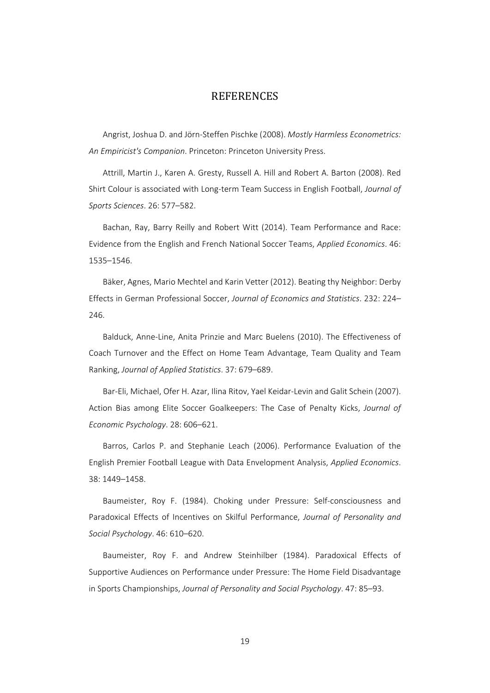## **REFERENCES**

Angrist, Joshua D. and Jörn‐Steffen Pischke (2008). *Mostly Harmless Econometrics: An Empiricist's Companion*. Princeton: Princeton University Press.

Attrill, Martin J., Karen A. Gresty, Russell A. Hill and Robert A. Barton (2008). Red Shirt Colour is associated with Long‐term Team Success in English Football, *Journal of Sports Sciences*. 26: 577–582.

Bachan, Ray, Barry Reilly and Robert Witt (2014). Team Performance and Race: Evidence from the English and French National Soccer Teams, *Applied Economics*. 46: 1535–1546.

Bäker, Agnes, Mario Mechtel and Karin Vetter (2012). Beating thy Neighbor: Derby Effects in German Professional Soccer, *Journal of Economics and Statistics*. 232: 224– 246.

Balduck, Anne‐Line, Anita Prinzie and Marc Buelens (2010). The Effectiveness of Coach Turnover and the Effect on Home Team Advantage, Team Quality and Team Ranking, *Journal of Applied Statistics*. 37: 679–689.

Bar‐Eli, Michael, Ofer H. Azar, Ilina Ritov, Yael Keidar‐Levin and Galit Schein (2007). Action Bias among Elite Soccer Goalkeepers: The Case of Penalty Kicks, *Journal of Economic Psychology*. 28: 606–621.

Barros, Carlos P. and Stephanie Leach (2006). Performance Evaluation of the English Premier Football League with Data Envelopment Analysis, *Applied Economics*. 38: 1449–1458.

Baumeister, Roy F. (1984). Choking under Pressure: Self‐consciousness and Paradoxical Effects of Incentives on Skilful Performance, *Journal of Personality and Social Psychology*. 46: 610–620.

Baumeister, Roy F. and Andrew Steinhilber (1984). Paradoxical Effects of Supportive Audiences on Performance under Pressure: The Home Field Disadvantage in Sports Championships, *Journal of Personality and Social Psychology*. 47: 85–93.

19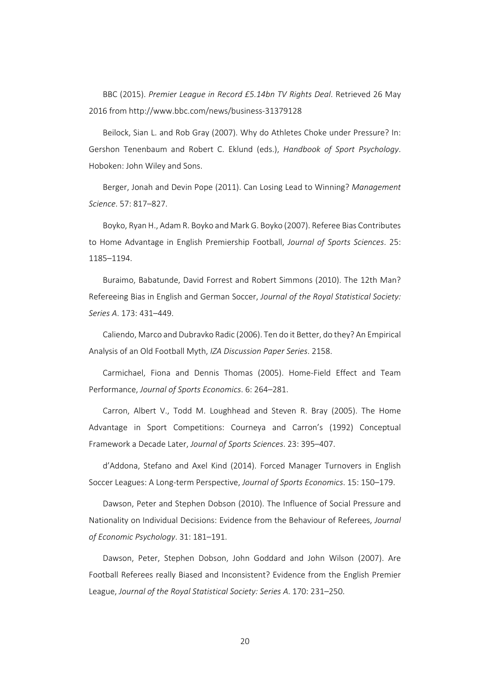BBC (2015). *Premier League in Record £5.14bn TV Rights Deal*. Retrieved 26 May 2016 from http://www.bbc.com/news/business‐31379128

Beilock, Sian L. and Rob Gray (2007). Why do Athletes Choke under Pressure? In: Gershon Tenenbaum and Robert C. Eklund (eds.), *Handbook of Sport Psychology*. Hoboken: John Wiley and Sons.

Berger, Jonah and Devin Pope (2011). Can Losing Lead to Winning? *Management Science*. 57: 817–827.

Boyko, Ryan H., Adam R. Boyko and Mark G. Boyko (2007). Referee Bias Contributes to Home Advantage in English Premiership Football, *Journal of Sports Sciences*. 25: 1185–1194.

Buraimo, Babatunde, David Forrest and Robert Simmons (2010). The 12th Man? Refereeing Bias in English and German Soccer, *Journal of the Royal Statistical Society: Series A*. 173: 431–449.

Caliendo, Marco and Dubravko Radic (2006). Ten do it Better, do they? An Empirical Analysis of an Old Football Myth, *IZA Discussion Paper Series*. 2158.

Carmichael, Fiona and Dennis Thomas (2005). Home‐Field Effect and Team Performance, *Journal of Sports Economics*. 6: 264–281.

Carron, Albert V., Todd M. Loughhead and Steven R. Bray (2005). The Home Advantage in Sport Competitions: Courneya and Carron's (1992) Conceptual Framework a Decade Later, *Journal of Sports Sciences*. 23: 395–407.

d'Addona, Stefano and Axel Kind (2014). Forced Manager Turnovers in English Soccer Leagues: A Long‐term Perspective, *Journal of Sports Economics*. 15: 150–179.

Dawson, Peter and Stephen Dobson (2010). The Influence of Social Pressure and Nationality on Individual Decisions: Evidence from the Behaviour of Referees, *Journal of Economic Psychology*. 31: 181–191.

Dawson, Peter, Stephen Dobson, John Goddard and John Wilson (2007). Are Football Referees really Biased and Inconsistent? Evidence from the English Premier League, *Journal of the Royal Statistical Society: Series A*. 170: 231–250.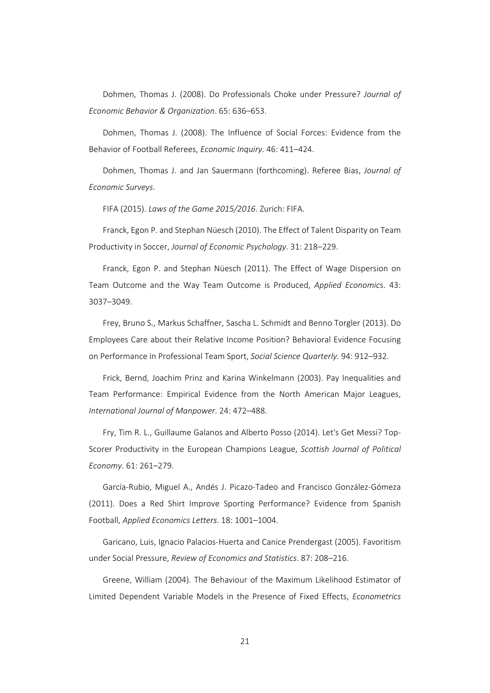Dohmen, Thomas J. (2008). Do Professionals Choke under Pressure? *Journal of Economic Behavior & Organization*. 65: 636–653.

Dohmen, Thomas J. (2008). The Influence of Social Forces: Evidence from the Behavior of Football Referees, *Economic Inquiry*. 46: 411–424.

Dohmen, Thomas J. and Jan Sauermann (forthcoming). Referee Bias, *Journal of Economic Surveys*.

FIFA (2015). *Laws of the Game 2015/2016*. Zurich: FIFA.

Franck, Egon P. and Stephan Nüesch (2010). The Effect of Talent Disparity on Team Productivity in Soccer, *Journal of Economic Psychology*. 31: 218–229.

Franck, Egon P. and Stephan Nüesch (2011). The Effect of Wage Dispersion on Team Outcome and the Way Team Outcome is Produced, *Applied Economic*s. 43: 3037–3049.

Frey, Bruno S., Markus Schaffner, Sascha L. Schmidt and Benno Torgler (2013). Do Employees Care about their Relative Income Position? Behavioral Evidence Focusing on Performance in Professional Team Sport, *Social Science Quarterly.* 94: 912–932.

Frick, Bernd, Joachim Prinz and Karina Winkelmann (2003). Pay Inequalities and Team Performance: Empirical Evidence from the North American Major Leagues, *International Journal of Manpower*. 24: 472–488.

Fry, Tim R. L., Guillaume Galanos and Alberto Posso (2014). Let's Get Messi? Top‐ Scorer Productivity in the European Champions League, *Scottish Journal of Political Economy*. 61: 261–279.

García‐Rubio, Miguel A., Andés J. Picazo‐Tadeo and Francisco González‐Gómeza (2011). Does a Red Shirt Improve Sporting Performance? Evidence from Spanish Football, *Applied Economics Letters*. 18: 1001–1004.

Garicano, Luis, Ignacio Palacios‐Huerta and Canice Prendergast (2005). Favoritism under Social Pressure, *Review of Economics and Statistics*. 87: 208–216.

Greene, William (2004). The Behaviour of the Maximum Likelihood Estimator of Limited Dependent Variable Models in the Presence of Fixed Effects, *Econometrics*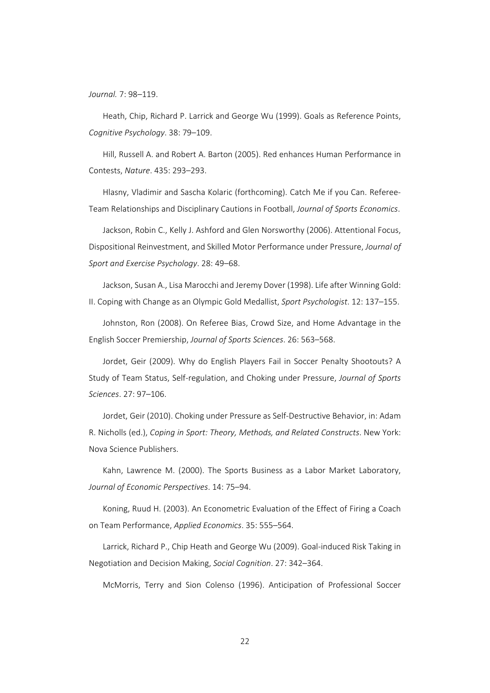*Journal.* 7: 98–119.

Heath, Chip, Richard P. Larrick and George Wu (1999). Goals as Reference Points, *Cognitive Psychology*. 38: 79–109.

Hill, Russell A. and Robert A. Barton (2005). Red enhances Human Performance in Contests, *Nature*. 435: 293–293.

Hlasny, Vladimir and Sascha Kolaric (forthcoming). Catch Me if you Can. Referee‐ Team Relationships and Disciplinary Cautions in Football, *Journal of Sports Economics*.

Jackson, Robin C., Kelly J. Ashford and Glen Norsworthy (2006). Attentional Focus, Dispositional Reinvestment, and Skilled Motor Performance under Pressure, *Journal of Sport and Exercise Psychology*. 28: 49–68.

Jackson, Susan A., Lisa Marocchi and Jeremy Dover (1998). Life after Winning Gold: II. Coping with Change as an Olympic Gold Medallist, *Sport Psychologist*. 12: 137–155.

Johnston, Ron (2008). On Referee Bias, Crowd Size, and Home Advantage in the English Soccer Premiership, *Journal of Sports Sciences*. 26: 563–568.

Jordet, Geir (2009). Why do English Players Fail in Soccer Penalty Shootouts? A Study of Team Status, Self‐regulation, and Choking under Pressure, *Journal of Sports Sciences*. 27: 97–106.

Jordet, Geir (2010). Choking under Pressure as Self‐Destructive Behavior, in: Adam R. Nicholls (ed.), *Coping in Sport: Theory, Methods, and Related Constructs*. New York: Nova Science Publishers.

Kahn, Lawrence M. (2000). The Sports Business as a Labor Market Laboratory, *Journal of Economic Perspectives*. 14: 75–94.

Koning, Ruud H. (2003). An Econometric Evaluation of the Effect of Firing a Coach on Team Performance, *Applied Economics*. 35: 555–564.

Larrick, Richard P., Chip Heath and George Wu (2009). Goal‐induced Risk Taking in Negotiation and Decision Making, *Social Cognition*. 27: 342–364.

McMorris, Terry and Sion Colenso (1996). Anticipation of Professional Soccer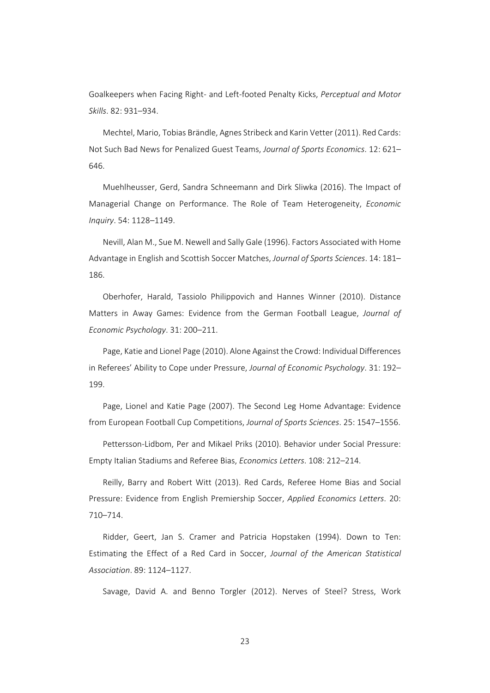Goalkeepers when Facing Right‐ and Left‐footed Penalty Kicks, *Perceptual and Motor Skills*. 82: 931–934.

Mechtel, Mario, Tobias Brändle, Agnes Stribeck and Karin Vetter (2011). Red Cards: Not Such Bad News for Penalized Guest Teams, *Journal of Sports Economics*. 12: 621– 646.

Muehlheusser, Gerd, Sandra Schneemann and Dirk Sliwka (2016). The Impact of Managerial Change on Performance. The Role of Team Heterogeneity, *Economic Inquiry*. 54: 1128–1149.

Nevill, Alan M., Sue M. Newell and Sally Gale (1996). Factors Associated with Home Advantage in English and Scottish Soccer Matches, *Journal of Sports Sciences*. 14: 181– 186.

Oberhofer, Harald, Tassiolo Philippovich and Hannes Winner (2010). Distance Matters in Away Games: Evidence from the German Football League, *Journal of Economic Psychology*. 31: 200–211.

Page, Katie and Lionel Page (2010). Alone Against the Crowd: Individual Differences in Referees' Ability to Cope under Pressure, *Journal of Economic Psychology*. 31: 192– 199.

Page, Lionel and Katie Page (2007). The Second Leg Home Advantage: Evidence from European Football Cup Competitions, *Journal of Sports Sciences*. 25: 1547–1556.

Pettersson‐Lidbom, Per and Mikael Priks (2010). Behavior under Social Pressure: Empty Italian Stadiums and Referee Bias, *Economics Letters*. 108: 212–214.

Reilly, Barry and Robert Witt (2013). Red Cards, Referee Home Bias and Social Pressure: Evidence from English Premiership Soccer, *Applied Economics Letters*. 20: 710–714.

Ridder, Geert, Jan S. Cramer and Patricia Hopstaken (1994). Down to Ten: Estimating the Effect of a Red Card in Soccer, *Journal of the American Statistical Association*. 89: 1124–1127.

Savage, David A. and Benno Torgler (2012). Nerves of Steel? Stress, Work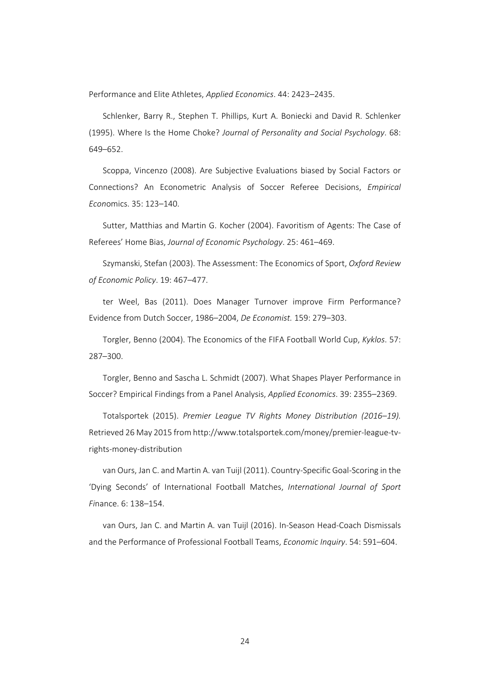Performance and Elite Athletes, *Applied Economics*. 44: 2423–2435.

Schlenker, Barry R., Stephen T. Phillips, Kurt A. Boniecki and David R. Schlenker (1995). Where Is the Home Choke? *Journal of Personality and Social Psychology*. 68: 649–652.

Scoppa, Vincenzo (2008). Are Subjective Evaluations biased by Social Factors or Connections? An Econometric Analysis of Soccer Referee Decisions, *Empirical Econ*omics. 35: 123–140.

Sutter, Matthias and Martin G. Kocher (2004). Favoritism of Agents: The Case of Referees' Home Bias, *Journal of Economic Psychology*. 25: 461–469.

Szymanski, Stefan (2003). The Assessment: The Economics of Sport, *Oxford Review of Economic Policy*. 19: 467–477.

ter Weel, Bas (2011). Does Manager Turnover improve Firm Performance? Evidence from Dutch Soccer, 1986–2004, *De Economist.* 159: 279–303.

Torgler, Benno (2004). The Economics of the FIFA Football World Cup, *Kyklos*. 57: 287–300.

Torgler, Benno and Sascha L. Schmidt (2007). What Shapes Player Performance in Soccer? Empirical Findings from a Panel Analysis, *Applied Economics*. 39: 2355–2369.

Totalsportek (2015). *Premier League TV Rights Money Distribution (2016–19).* Retrieved 26 May 2015 from http://www.totalsportek.com/money/premier‐league‐tv‐ rights‐money‐distribution

van Ours, Jan C. and Martin A. van Tuijl (2011). Country‐Specific Goal‐Scoring in the 'Dying Seconds' of International Football Matches, *International Journal of Sport Fi*nance. 6: 138–154.

van Ours, Jan C. and Martin A. van Tuijl (2016). In‐Season Head‐Coach Dismissals and the Performance of Professional Football Teams, *Economic Inquiry*. 54: 591–604.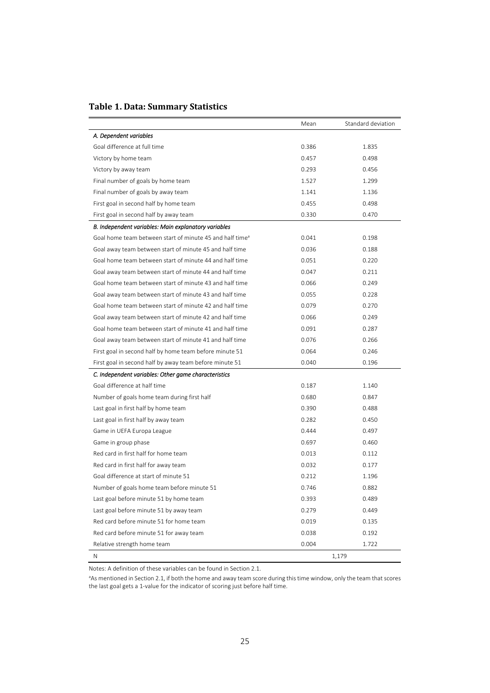|  |  | Table 1. Data: Summary Statistics |  |
|--|--|-----------------------------------|--|
|--|--|-----------------------------------|--|

|                                                                      | Mean  | Standard deviation |
|----------------------------------------------------------------------|-------|--------------------|
| A. Dependent variables                                               |       |                    |
| Goal difference at full time                                         | 0.386 | 1.835              |
| Victory by home team                                                 | 0.457 | 0.498              |
| Victory by away team                                                 | 0.293 | 0.456              |
| Final number of goals by home team                                   | 1.527 | 1.299              |
| Final number of goals by away team                                   | 1.141 | 1.136              |
| First goal in second half by home team                               | 0.455 | 0.498              |
| First goal in second half by away team                               | 0.330 | 0.470              |
| B. Independent variables: Main explanatory variables                 |       |                    |
| Goal home team between start of minute 45 and half time <sup>a</sup> | 0.041 | 0.198              |
| Goal away team between start of minute 45 and half time              | 0.036 | 0.188              |
| Goal home team between start of minute 44 and half time              | 0.051 | 0.220              |
| Goal away team between start of minute 44 and half time              | 0.047 | 0.211              |
| Goal home team between start of minute 43 and half time              | 0.066 | 0.249              |
| Goal away team between start of minute 43 and half time              | 0.055 | 0.228              |
| Goal home team between start of minute 42 and half time              | 0.079 | 0.270              |
| Goal away team between start of minute 42 and half time              | 0.066 | 0.249              |
| Goal home team between start of minute 41 and half time              | 0.091 | 0.287              |
| Goal away team between start of minute 41 and half time              | 0.076 | 0.266              |
| First goal in second half by home team before minute 51              | 0.064 | 0.246              |
| First goal in second half by away team before minute 51              | 0.040 | 0.196              |
| C. Independent variables: Other game characteristics                 |       |                    |
| Goal difference at half time                                         | 0.187 | 1.140              |
| Number of goals home team during first half                          | 0.680 | 0.847              |
| Last goal in first half by home team                                 | 0.390 | 0.488              |
| Last goal in first half by away team                                 | 0.282 | 0.450              |
| Game in UEFA Europa League                                           | 0.444 | 0.497              |
| Game in group phase                                                  | 0.697 | 0.460              |
| Red card in first half for home team                                 | 0.013 | 0.112              |
| Red card in first half for away team                                 | 0.032 | 0.177              |
| Goal difference at start of minute 51                                | 0.212 | 1.196              |
| Number of goals home team before minute 51                           | 0.746 | 0.882              |
| Last goal before minute 51 by home team                              | 0.393 | 0.489              |
| Last goal before minute 51 by away team                              | 0.279 | 0.449              |
| Red card before minute 51 for home team                              | 0.019 | 0.135              |
| Red card before minute 51 for away team                              | 0.038 | 0.192              |
| Relative strength home team                                          | 0.004 | 1.722              |
| N                                                                    |       | 1,179              |

Notes: A definition of these variables can be found in Section 2.1.

<sup>a</sup>As mentioned in Section 2.1, if both the home and away team score during this time window, only the team that scores the last goal gets a 1‐value for the indicator of scoring just before half time.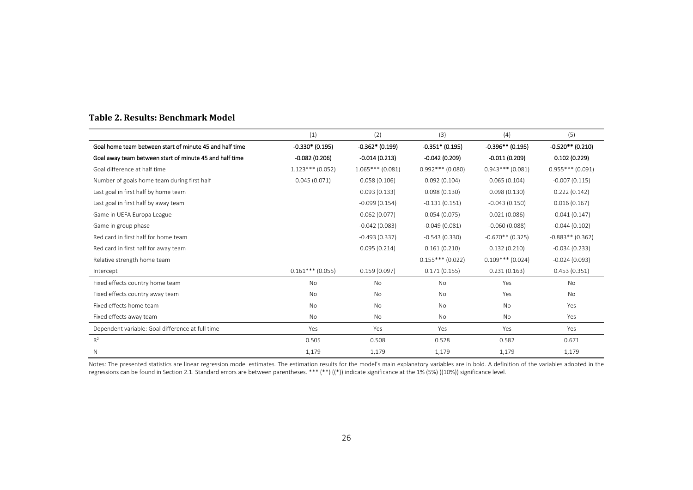|                                                         | (1)                | (2)               | (3)                | (4)                | (5)                |
|---------------------------------------------------------|--------------------|-------------------|--------------------|--------------------|--------------------|
| Goal home team between start of minute 45 and half time | $-0.330*(0.195)$   | $-0.362*$ (0.199) | $-0.351*$ (0.195)  | $-0.396**$ (0.195) | $-0.520**$ (0.210) |
| Goal away team between start of minute 45 and half time | $-0.082(0.206)$    | $-0.014(0.213)$   | $-0.042(0.209)$    | $-0.011(0.209)$    | 0.102(0.229)       |
| Goal difference at half time                            | $1.123***$ (0.052) | $1.065***(0.081)$ | $0.992***$ (0.080) | $0.943***$ (0.081) | $0.955***$ (0.091) |
| Number of goals home team during first half             | 0.045(0.071)       | 0.058(0.106)      | 0.092(0.104)       | 0.065(0.104)       | $-0.007(0.115)$    |
| Last goal in first half by home team                    |                    | 0.093(0.133)      | 0.098(0.130)       | 0.098(0.130)       | 0.222(0.142)       |
| Last goal in first half by away team                    |                    | $-0.099(0.154)$   | $-0.131(0.151)$    | $-0.043(0.150)$    | 0.016(0.167)       |
| Game in UEFA Europa League                              |                    | 0.062(0.077)      | 0.054(0.075)       | 0.021(0.086)       | $-0.041(0.147)$    |
| Game in group phase                                     |                    | $-0.042(0.083)$   | $-0.049(0.081)$    | $-0.060(0.088)$    | $-0.044(0.102)$    |
| Red card in first half for home team                    |                    | $-0.493(0.337)$   | $-0.543(0.330)$    | $-0.670**$ (0.325) | $-0.883**$ (0.362) |
| Red card in first half for away team                    |                    | 0.095(0.214)      | 0.161(0.210)       | 0.132(0.210)       | $-0.034(0.233)$    |
| Relative strength home team                             |                    |                   | $0.155***(0.022)$  | $0.109***$ (0.024) | $-0.024(0.093)$    |
| Intercept                                               | $0.161***$ (0.055) | 0.159(0.097)      | 0.171(0.155)       | 0.231(0.163)       | 0.453(0.351)       |
| Fixed effects country home team                         | <b>No</b>          | <b>No</b>         | <b>No</b>          | Yes                | <b>No</b>          |
| Fixed effects country away team                         | <b>No</b>          | <b>No</b>         | <b>No</b>          | Yes                | <b>No</b>          |
| Fixed effects home team                                 | No                 | No                | <b>No</b>          | <b>No</b>          | Yes                |
| Fixed effects away team                                 | No                 | No                | <b>No</b>          | No                 | Yes                |
| Dependent variable: Goal difference at full time        | Yes                | Yes               | Yes                | Yes                | Yes                |
| $R^2$                                                   | 0.505              | 0.508             | 0.528              | 0.582              | 0.671              |
| Ν                                                       | 1,179              | 1,179             | 1,179              | 1,179              | 1,179              |

#### **Table 2. Results: Benchmark Model**

Notes: The presented statistics are linear regression model estimates. The estimation results for the model's main explanatory variables are in bold. A definition of the variables adopted in the regressions can be found in Section 2.1. Standard errors are between parentheses. \*\*\* (\*\*) ((\*)) indicate significance at the 1% (5%) ((10%)) significance level.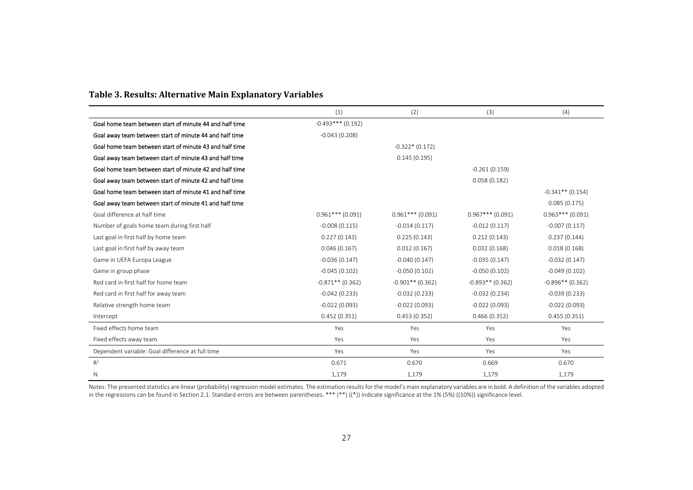|                                                         | (1)                 | (2)                | (3)                | (4)                |
|---------------------------------------------------------|---------------------|--------------------|--------------------|--------------------|
| Goal home team between start of minute 44 and half time | $-0.493***$ (0.192) |                    |                    |                    |
| Goal away team between start of minute 44 and half time | $-0.043(0.208)$     |                    |                    |                    |
| Goal home team between start of minute 43 and half time |                     | $-0.322*(0.172)$   |                    |                    |
| Goal away team between start of minute 43 and half time |                     | 0.145(0.195)       |                    |                    |
| Goal home team between start of minute 42 and half time |                     |                    | $-0.261(0.159)$    |                    |
| Goal away team between start of minute 42 and half time |                     |                    | 0.058(0.182)       |                    |
| Goal home team between start of minute 41 and half time |                     |                    |                    | $-0.341**$ (0.154) |
| Goal away team between start of minute 41 and half time |                     |                    |                    | 0.085(0.175)       |
| Goal difference at half time                            | $0.961***$ (0.091)  | $0.961***$ (0.091) | $0.967***$ (0.091) | $0.963***$ (0.091) |
| Number of goals home team during first half             | $-0.008(0.115)$     | $-0.014(0.117)$    | $-0.012(0.117)$    | $-0.007(0.117)$    |
| Last goal in first half by home team                    | 0.227(0.143)        | 0.225(0.143)       | 0.212(0.143)       | 0.237(0.144)       |
| Last goal in first half by away team                    | 0.046(0.167)        | 0.012(0.167)       | 0.032(0.168)       | 0.018(0.168)       |
| Game in UEFA Europa League                              | $-0.036(0.147)$     | $-0.040(0.147)$    | $-0.035(0.147)$    | $-0.032(0.147)$    |
| Game in group phase                                     | $-0.045(0.102)$     | $-0.050(0.102)$    | $-0.050(0.102)$    | $-0.049(0.102)$    |
| Red card in first half for home team                    | $-0.871**$ (0.362)  | $-0.901**$ (0.362) | $-0.893**$ (0.362) | $-0.896**$ (0.362) |
| Red card in first half for away team                    | $-0.042(0.233)$     | $-0.032(0.233)$    | $-0.032(0.234)$    | $-0.039(0.233)$    |
| Relative strength home team                             | $-0.022(0.093)$     | $-0.022(0.093)$    | $-0.022(0.093)$    | $-0.022(0.093)$    |
| Intercept                                               | 0.452(0.351)        | 0.453(0.352)       | 0.466(0.352)       | 0.455(0.351)       |
| Fixed effects home team                                 | Yes                 | Yes                | Yes                | Yes                |
| Fixed effects away team                                 | Yes                 | Yes                | Yes                | Yes                |
| Dependent variable: Goal difference at full time        | Yes                 | Yes                | Yes                | Yes                |
| $R^2$                                                   | 0.671               | 0.670              | 0.669              | 0.670              |
| $\mathsf{N}$                                            | 1,179               | 1,179              | 1,179              | 1,179              |

#### **Table 3. Results: Alternative Main Explanatory Variables**

Notes: The presented statistics are linear (probability) regression model estimates. The estimation resultsfor the model's main explanatory variables are in bold. A definition of the variables adopted in the regressions can be found in Section 2.1. Standard errors are between parentheses. \*\*\* (\*\*) ((\*)) indicate significance at the 1% (5%) ((10%)) significance level.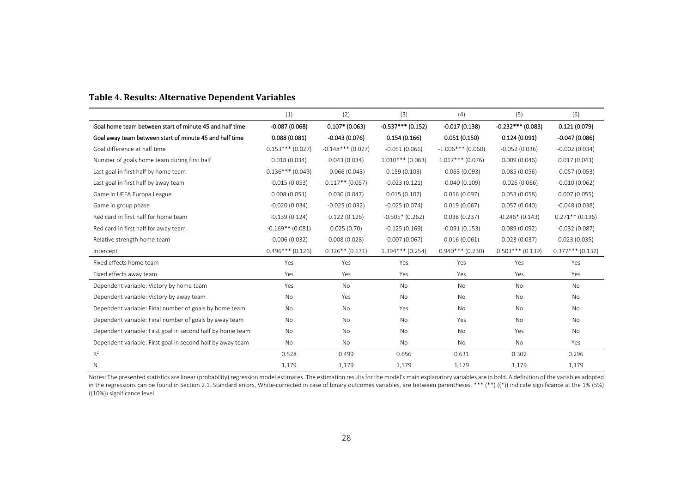| Table 4. Results: Alternative Dependent Variables |
|---------------------------------------------------|
|---------------------------------------------------|

|                                                            | (1)                | (2)                 | (3)                 | (4)                 | (5)                 | (6)                |
|------------------------------------------------------------|--------------------|---------------------|---------------------|---------------------|---------------------|--------------------|
| Goal home team between start of minute 45 and half time    | $-0.087(0.068)$    | $0.107*$ (0.063)    | $-0.537***$ (0.152) | $-0.017(0.138)$     | $-0.232***$ (0.083) | 0.121(0.079)       |
| Goal away team between start of minute 45 and half time    | 0.088(0.081)       | $-0.043(0.076)$     | 0.154(0.166)        | 0.051(0.150)        | 0.124(0.091)        | $-0.047(0.086)$    |
| Goal difference at half time                               | $0.153***(0.027)$  | $-0.148***$ (0.027) | $-0.051(0.066)$     | $-1.006***$ (0.060) | $-0.052(0.036)$     | $-0.002(0.034)$    |
| Number of goals home team during first half                | 0.018(0.034)       | 0.043(0.034)        | $1.010***$ (0.083)  | $1.017***$ (0.076)  | 0.009(0.046)        | 0.017(0.043)       |
| Last goal in first half by home team                       | $0.136***$ (0.049) | $-0.066(0.043)$     | 0.159(0.103)        | $-0.063(0.093)$     | 0.085(0.056)        | $-0.057(0.053)$    |
| Last goal in first half by away team                       | $-0.015(0.053)$    | $0.117**$ (0.057)   | $-0.023(0.121)$     | $-0.040(0.109)$     | $-0.026(0.066)$     | $-0.010(0.062)$    |
| Game in UEFA Europa League                                 | 0.008(0.051)       | 0.030(0.047)        | 0.015(0.107)        | 0.056(0.097)        | 0.053(0.058)        | 0.007(0.055)       |
| Game in group phase                                        | $-0.020(0.034)$    | $-0.025(0.032)$     | $-0.025(0.074)$     | 0.019(0.067)        | 0.057(0.040)        | $-0.048(0.038)$    |
| Red card in first half for home team                       | $-0.139(0.124)$    | 0.122(0.126)        | $-0.505*$ (0.262)   | 0.038(0.237)        | $-0.246*(0.143)$    | $0.271**$ (0.136)  |
| Red card in first half for away team                       | $-0.169**$ (0.081) | 0.025(0.70)         | $-0.125(0.169)$     | $-0.091(0.153)$     | 0.089(0.092)        | $-0.032(0.087)$    |
| Relative strength home team                                | $-0.006(0.032)$    | 0.008(0.028)        | $-0.007(0.067)$     | 0.016(0.061)        | 0.023(0.037)        | 0.023(0.035)       |
| Intercept                                                  | $0.496***$ (0.126) | $0.326**$ (0.131)   | $1.394***$ (0.254)  | $0.940***$ (0.230)  | $0.503***$ (0.139)  | $0.377***$ (0.132) |
| Fixed effects home team                                    | Yes                | Yes                 | Yes                 | Yes                 | Yes                 | Yes                |
| Fixed effects away team                                    | Yes                | Yes                 | Yes                 | Yes                 | Yes                 | Yes                |
| Dependent variable: Victory by home team                   | Yes                | No                  | No                  | No                  | <b>No</b>           | <b>No</b>          |
| Dependent variable: Victory by away team                   | No                 | Yes                 | No                  | No                  | <b>No</b>           | <b>No</b>          |
| Dependent variable: Final number of goals by home team     | No                 | <b>No</b>           | Yes                 | No                  | <b>No</b>           | <b>No</b>          |
| Dependent variable: Final number of goals by away team     | No                 | No                  | No                  | Yes                 | <b>No</b>           | <b>No</b>          |
| Dependent variable: First goal in second half by home team | No                 | No                  | No                  | No                  | Yes                 | <b>No</b>          |
| Dependent variable: First goal in second half by away team | <b>No</b>          | <b>No</b>           | No                  | <b>No</b>           | <b>No</b>           | Yes                |
| $R^2$                                                      | 0.528              | 0.499               | 0.656               | 0.631               | 0.302               | 0.296              |
| Ν                                                          | 1,179              | 1,179               | 1,179               | 1,179               | 1,179               | 1,179              |

Notes: The presented statistics are linear (probability) regression model estimates. The estimation resultsfor the model's main explanatory variables are in bold. A definition of the variables adopted in the regressions can be found in Section 2.1. Standard errors, White‐corrected in case of binary outcomes variables, are between parentheses. \*\*\* (\*\*) ((\*)) indicate significance at the 1% (5%) ((10%)) significance level.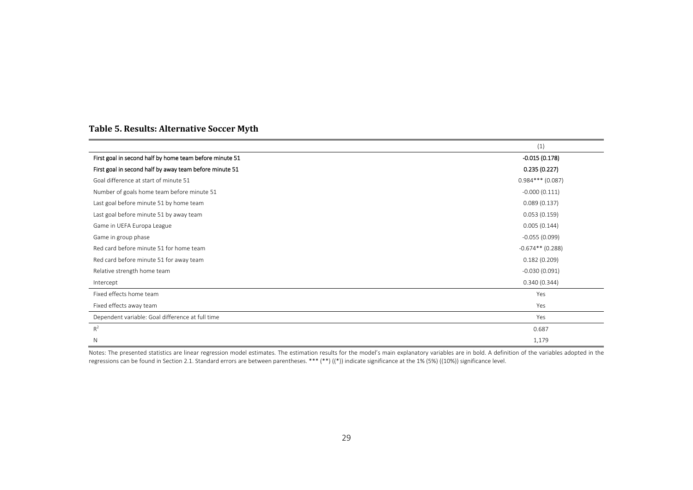#### **Table 5. Results: Alternative Soccer Myth**

|                                                         | (1)                |
|---------------------------------------------------------|--------------------|
| First goal in second half by home team before minute 51 | $-0.015(0.178)$    |
| First goal in second half by away team before minute 51 | 0.235(0.227)       |
| Goal difference at start of minute 51                   | $0.984***$ (0.087) |
| Number of goals home team before minute 51              | $-0.000(0.111)$    |
| Last goal before minute 51 by home team                 | 0.089(0.137)       |
| Last goal before minute 51 by away team                 | 0.053(0.159)       |
| Game in UEFA Europa League                              | 0.005(0.144)       |
| Game in group phase                                     | $-0.055(0.099)$    |
| Red card before minute 51 for home team                 | $-0.674**$ (0.288) |
| Red card before minute 51 for away team                 | 0.182(0.209)       |
| Relative strength home team                             | $-0.030(0.091)$    |
| Intercept                                               | 0.340(0.344)       |
| Fixed effects home team                                 | Yes                |
| Fixed effects away team                                 | Yes                |
| Dependent variable: Goal difference at full time        | Yes                |
| $R^2$                                                   | 0.687              |
| N                                                       | 1,179              |

Notes: The presented statistics are linear regression model estimates. The estimation results for the model's main explanatory variables are in bold. A definition of the variables adopted in the regressions can be found in Section 2.1. Standard errors are between parentheses. \*\*\* (\*\*) ((\*)) indicate significance at the 1% (5%) ((10%)) significance level.